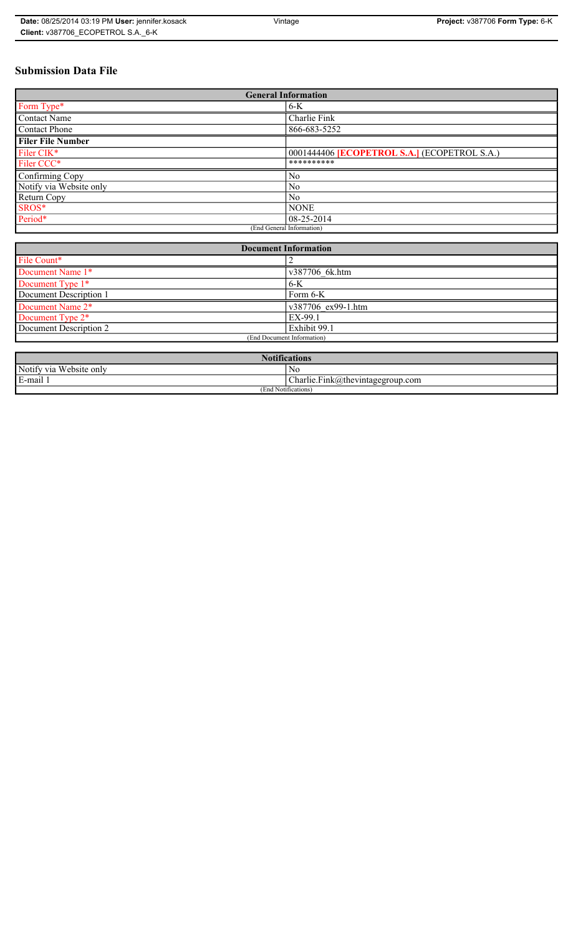| Date: 08/25/2014 03:19 PM User: jennifer kosack | Vintage | <b>Project: v387706 Form Type: 6-K</b> |
|-------------------------------------------------|---------|----------------------------------------|
| Client: v387706 ECOPETROL S.A. 6-K              |         |                                        |

# **Submission Data File**

| <b>General Information</b> |                                                     |  |  |
|----------------------------|-----------------------------------------------------|--|--|
| Form Type*                 | $6-K$                                               |  |  |
| Contact Name               | Charlie Fink                                        |  |  |
| <b>Contact Phone</b>       | 866-683-5252                                        |  |  |
| <b>Filer File Number</b>   |                                                     |  |  |
| Filer CIK*                 | 0001444406 <b>[ECOPETROL S.A.]</b> (ECOPETROL S.A.) |  |  |
| Filer CCC*                 | **********                                          |  |  |
| Confirming Copy            | N <sub>0</sub>                                      |  |  |
| Notify via Website only    | N <sub>0</sub>                                      |  |  |
| Return Copy                | N <sub>0</sub>                                      |  |  |
| SROS*                      | <b>NONE</b>                                         |  |  |
| Period*                    | $08-25-2014$                                        |  |  |
| (End General Information)  |                                                     |  |  |

| <b>Document Information</b>  |                    |  |
|------------------------------|--------------------|--|
| File Count*                  |                    |  |
| Document Name 1*             | v387706 6k.htm     |  |
| Document Type 1*             | 6-K                |  |
| Document Description 1       | Form 6-K           |  |
| Document Name 2*             | v387706 ex99-1.htm |  |
| Document Type 2 <sup>*</sup> | EX-99.1            |  |
| Document Description 2       | Exhibit 99.1       |  |
| (End Document Information)   |                    |  |
|                              |                    |  |

| <b>Notifications</b>    |                                  |  |  |
|-------------------------|----------------------------------|--|--|
| Notify via Website only | No                               |  |  |
| E-mail                  | Charlie.Fink@thevintagegroup.com |  |  |
| (End Notifications)     |                                  |  |  |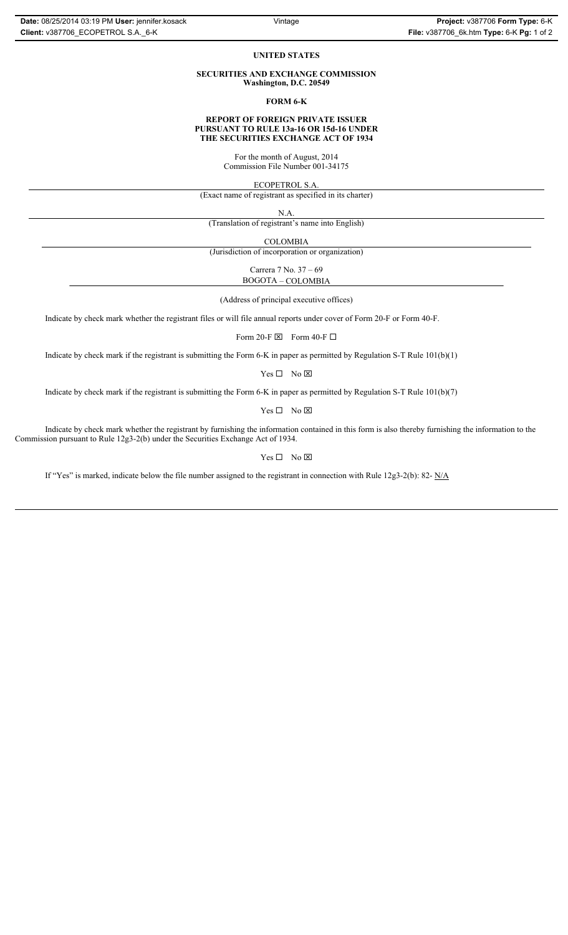#### **UNITED STATES**

#### **SECURITIES AND EXCHANGE COMMISSION Washington, D.C. 20549**

**FORM 6-K**

#### **REPORT OF FOREIGN PRIVATE ISSUER PURSUANT TO RULE 13a-16 OR 15d-16 UNDER THE SECURITIES EXCHANGE ACT OF 1934**

For the month of August, 2014 Commission File Number 001-34175

ECOPETROL S.A.

(Exact name of registrant as specified in its charter)

N.A.

(Translation of registrant's name into English)

COLOMBIA

(Jurisdiction of incorporation or organization)

Carrera 7 No. 37 – 69 BOGOTA – COLOMBIA

(Address of principal executive offices)

Indicate by check mark whether the registrant files or will file annual reports under cover of Form 20-F or Form 40-F.

Form 20-F  $\boxtimes$  Form 40-F  $\Box$ 

Indicate by check mark if the registrant is submitting the Form 6-K in paper as permitted by Regulation S-T Rule 101(b)(1)

 $Yes \Box No \boxtimes$ 

Indicate by check mark if the registrant is submitting the Form 6-K in paper as permitted by Regulation S-T Rule 101(b)(7)

 $Yes \Box No \boxtimes$ 

Indicate by check mark whether the registrant by furnishing the information contained in this form is also thereby furnishing the information to the Commission pursuant to Rule 12g3-2(b) under the Securities Exchange Act of 1934.

 $Yes \Box No \boxtimes$ 

If "Yes" is marked, indicate below the file number assigned to the registrant in connection with Rule 12g3-2(b): 82- N/A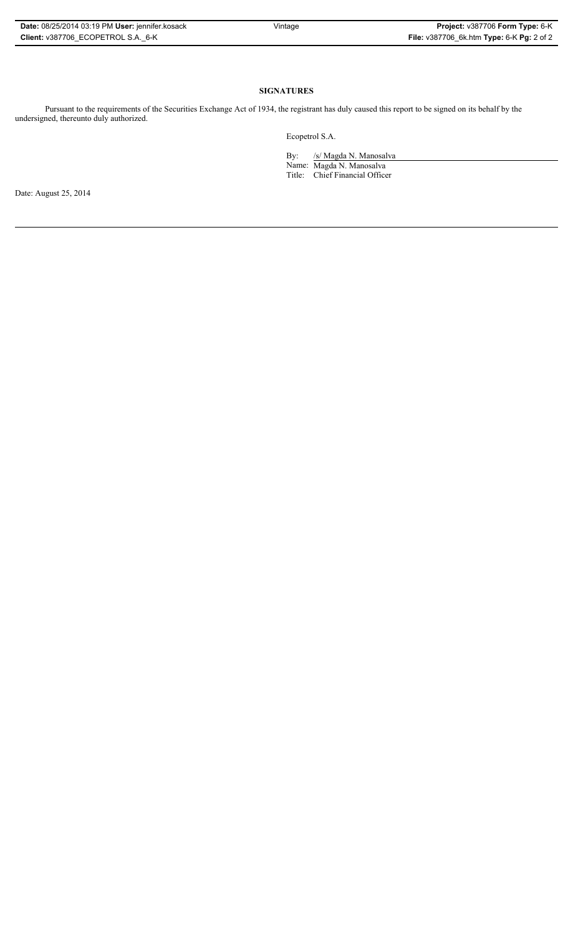| Date: 08/25/2014 03:19 PM User: jennifer.kosack |
|-------------------------------------------------|
| Client: v387706 ECOPETROL S.A. 6-K              |

# **SIGNATURES**

Pursuant to the requirements of the Securities Exchange Act of 1934, the registrant has duly caused this report to be signed on its behalf by the undersigned, thereunto duly authorized.

Ecopetrol S.A.

By: /s/ Magda N. Manosalva Name: Magda N. Manosalva Title: Chief Financial Officer

Date: August 25, 2014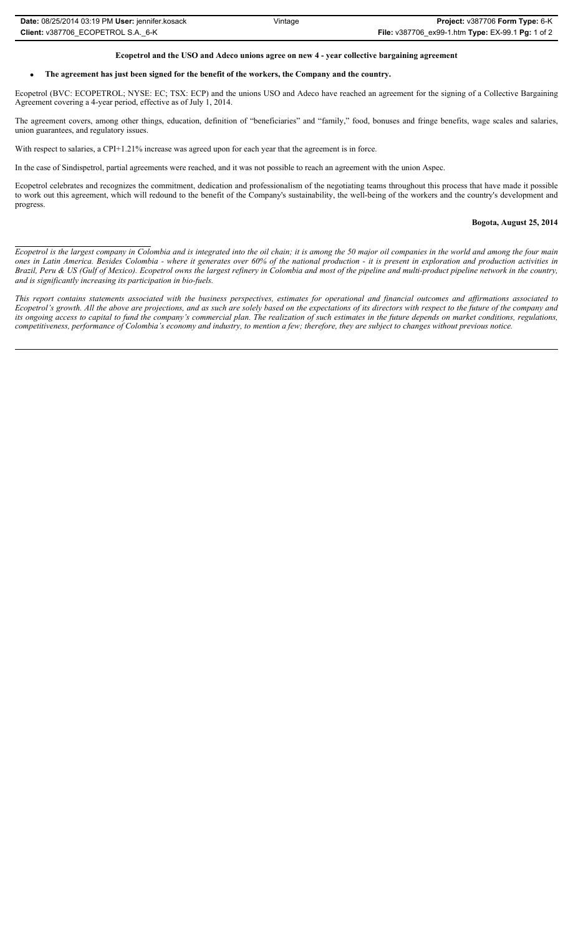| Date: 08/25/2014 03:19 PM User: jennifer.kosack | Vintage | Project: v387706 Form Type: 6-K                   |
|-------------------------------------------------|---------|---------------------------------------------------|
| Client: v387706 ECOPETROL S.A. 6-K              |         | File: v387706 ex99-1.htm Type: EX-99.1 Pg: 1 of 2 |

## **Ecopetrol and the USO and Adeco unions agree on new 4 - year collective bargaining agreement**

## x **The agreement has just been signed for the benefit of the workers, the Company and the country.**

Ecopetrol (BVC: ECOPETROL; NYSE: EC; TSX: ECP) and the unions USO and Adeco have reached an agreement for the signing of a Collective Bargaining Agreement covering a 4-year period, effective as of July 1, 2014.

The agreement covers, among other things, education, definition of "beneficiaries" and "family," food, bonuses and fringe benefits, wage scales and salaries, union guarantees, and regulatory issues.

With respect to salaries, a CPI+1.21% increase was agreed upon for each year that the agreement is in force.

In the case of Sindispetrol, partial agreements were reached, and it was not possible to reach an agreement with the union Aspec.

Ecopetrol celebrates and recognizes the commitment, dedication and professionalism of the negotiating teams throughout this process that have made it possible to work out this agreement, which will redound to the benefit of the Company's sustainability, the well-being of the workers and the country's development and progress.

## **Bogota, August 25, 2014**

*Ecopetrol is the largest company in Colombia and is integrated into the oil chain; it is among the 50 major oil companies in the world and among the four main ones in Latin America. Besides Colombia - where it generates over 60% of the national production - it is present in exploration and production activities in Brazil, Peru & US (Gulf of Mexico). Ecopetrol owns the largest refinery in Colombia and most of the pipeline and multi-product pipeline network in the country, and is significantly increasing its participation in bio-fuels.*

*This report contains statements associated with the business perspectives, estimates for operational and financial outcomes and affirmations associated to Ecopetrol's growth. All the above are projections, and as such are solely based on the expectations of its directors with respect to the future of the company and its ongoing access to capital to fund the company's commercial plan. The realization of such estimates in the future depends on market conditions, regulations, competitiveness, performance of Colombia's economy and industry, to mention a few; therefore, they are subject to changes without previous notice.*